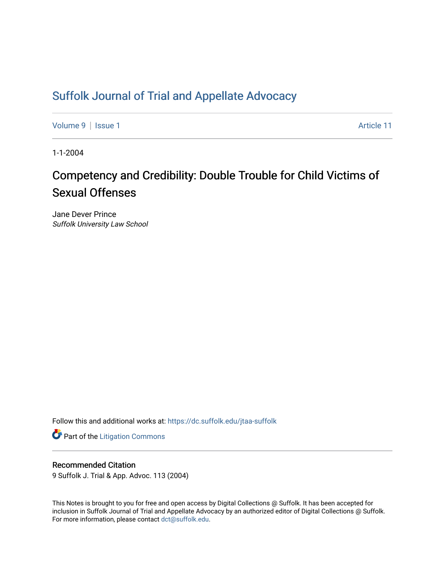## [Suffolk Journal of Trial and Appellate Advocacy](https://dc.suffolk.edu/jtaa-suffolk)

[Volume 9](https://dc.suffolk.edu/jtaa-suffolk/vol9) | [Issue 1](https://dc.suffolk.edu/jtaa-suffolk/vol9/iss1) Article 11

1-1-2004

# Competency and Credibility: Double Trouble for Child Victims of Sexual Offenses

Jane Dever Prince Suffolk University Law School

Follow this and additional works at: [https://dc.suffolk.edu/jtaa-suffolk](https://dc.suffolk.edu/jtaa-suffolk?utm_source=dc.suffolk.edu%2Fjtaa-suffolk%2Fvol9%2Fiss1%2F11&utm_medium=PDF&utm_campaign=PDFCoverPages) 

**Part of the [Litigation Commons](https://network.bepress.com/hgg/discipline/910?utm_source=dc.suffolk.edu%2Fjtaa-suffolk%2Fvol9%2Fiss1%2F11&utm_medium=PDF&utm_campaign=PDFCoverPages)** 

## Recommended Citation

9 Suffolk J. Trial & App. Advoc. 113 (2004)

This Notes is brought to you for free and open access by Digital Collections @ Suffolk. It has been accepted for inclusion in Suffolk Journal of Trial and Appellate Advocacy by an authorized editor of Digital Collections @ Suffolk. For more information, please contact [dct@suffolk.edu](mailto:dct@suffolk.edu).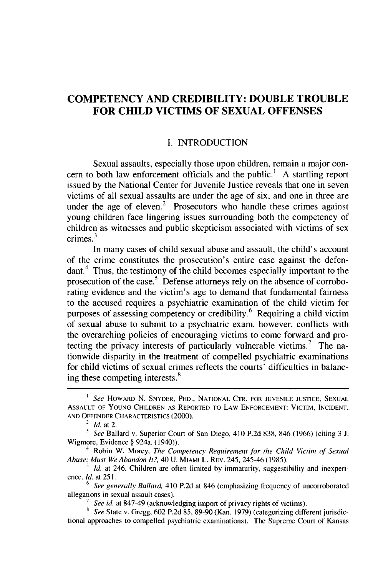## **COMPETENCY AND CREDIBILITY: DOUBLE TROUBLE FOR CHILD VICTIMS OF SEXUAL OFFENSES**

### **I.** INTRODUCTION

Sexual assaults, especially those upon children, remain a major concern to both law enforcement officials and the public.' **A** startling report issued **by** the National Center for Juvenile Justice reveals that one in seven victims of all sexual assaults are under the age of six, and one in three are under the age of eleven.<sup>2</sup> Prosecutors who handle these crimes against young children face lingering issues surrounding both the competency of children as witnesses and public skepticism associated with victims of sex **3** crimes.

In many cases of child sexual abuse and assault, the child's account of the crime constitutes the prosecution's entire case against the defendant.<sup>4</sup> Thus, the testimony of the child becomes especially important to the prosecution of the case.<sup>5</sup> Defense attorneys rely on the absence of corroborating evidence and the Victim's age to demand that fundamental fairness to the accused requires a psychiatric examination of the child victim for purposes of assessing competency or credibility.<sup>6</sup> Requiring a child victim of sexual abuse to submit to a psychiatric exam, however, conflicts with the overarching policies of encouraging victims to come forward and protecting the privacy interests of particularly vulnerable victims.<sup>7</sup> The nationwide disparity in the treatment of compelled psychiatric examinations for child victims of sexual crimes reflects the courts' difficulties in balancing these competing interests.<sup>8</sup>

*See* HOWARD N. SNYDER, PHD., NATIONAL CTR. FOR **JUVENILE JUSTICE, SEXUAL** ASSAULT OF **YOUNG** CHILDREN AS REPORTED TO LAW **ENFORCEMENT:** VICTIM, **INCIDENT, AND** OFFENDER CHARACTERISTICS (2000).

<sup>2</sup>*Id.* at 2.

*<sup>3</sup>See* Ballard v. Superior Court of San Diego, 410 P.2d 838, 846 (1966) (citing 3 **J.** Wigmore, Evidence § 924a. (1940)).

<sup>&</sup>lt;sup>4</sup> Robin W. Morey, *The Competency Requirement for the Child Victim of Sexual Abuse: Must We Abandon It?,* 40 U. MIAMI L. REV. 245, 245-46 (1985).

*Id.* at 246. Children are often limited by immaturity, suggestibility and inexperience. *Id.* at 251.

<sup>&</sup>lt;sup>5</sup> See generally Ballard, 410 P.2d at 846 (emphasizing frequency of uncorroborated allegations in sexual assault cases).

*<sup>7</sup>See id.* at 847-49 (acknowledging import of privacy rights of victims).

*<sup>&</sup>quot; See* State v. Gregg, 602 P.2d 85, 89-90 (Kan. 1979) (categorizing different jurisdictional approaches to compelled psychiatric examinations). The Supreme Court of Kansas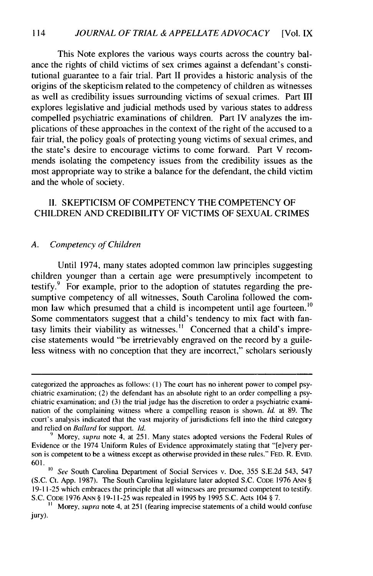This Note explores the various ways courts across the country balance the rights of child victims of sex crimes against a defendant's constitutional guarantee to a fair trial. Part **II** provides a historic analysis of the origins of the skepticism related to the competency of children as witnesses as well as credibility issues surrounding victims of sexual crimes. Part **III** explores legislative and judicial methods used **by** various states to address compelled psychiatric examinations of children. Part IV analyzes the implications of these approaches in the context of the right of the accused to a fair trial, the policy goals of protecting young victims of sexual crimes, and the state's desire to encourage victims to come forward. Part V recommends isolating the competency issues from the credibility issues as the most appropriate way to strike a balance for the defendant, the child victim and the whole of society.

## **II. SKEPTICISM** OF **COMPETENCY** THE **COMPETENCY** OF CHILDREN **AND** CREDIBILITY OF **VICTIMS** OF **SEXUAL** CRIMES

### *A. Competency of Children*

Until 1974, many states adopted common law principles suggesting children younger than a certain age were presumptively incompetent to testify. $9$  For example, prior to the adoption of statutes regarding the presumptive competency of all witnesses, South Carolina followed the common law which presumed that a child is incompetent until age fourteen.<sup>10</sup> Some commentators suggest that a child's tendency to mix fact with fantasy limits their viability as witnesses.<sup>11</sup> Concerned that a child's imprecise statements would "be irretrievably engraved on the record **by** a guileless witness with no conception that they are incorrect," scholars seriously

categorized the approaches as follows: **(1)** The court has no inherent power to compel psychiatric examination; (2) the defendant has an absolute right to an order compelling a psychiatric examination; and **(3)** the trial judge has the discretion to order a psychiatric examination of the complaining witness where a compelling reason is shown. **Id.** at **89.** The court's analysis indicated that the vast majority of jurisdictions fell into the third category and relied on Ballard for support. *Id.*

**<sup>&#</sup>x27;)** Morey, supra note 4, at **251.** Many states adopted versions the Federal Rules of Evidence or the 1974 Uniform Rules of Evidence approximately stating that "[elvery person is competent to be a witness except as otherwise provided in these rules." **FED.** R. EvID. **601.**

*<sup>10</sup> See* South Carolina Department of Social Services v. Doe, **355 S.E.2d** 543, 547 **(S.C.** Ct. **App. 1987).** The South Carolina legislature later adopted **S.C. CODE 1976 ANN § 19-11-25** which embraces the principle that all witnesses are presumed competent to testify. **S.C. CODE 1976 ANN § 19-11-25** was repealed in **1995 by 1995 S.C.** Acts 104 **§ 7.**

**<sup>1</sup>** Morey, **supra** note 4, at **251** (fearing imprecise statements of a child would confuse jury).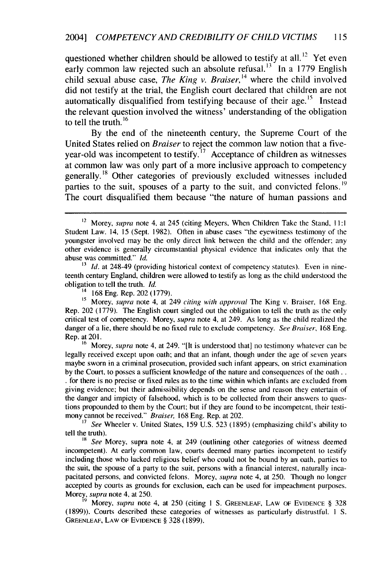questioned whether children should be allowed to testify at all.<sup>12</sup> Yet even early common law rejected such an absolute refusal.<sup>13</sup> In a 1779 English child sexual abuse case, *The King v. Braiser*,<sup>14</sup> where the child involved did not testify at the trial, the English court declared that children are not automatically disqualified from testifying because of their age. $15$  Instead the relevant question involved the witness' understanding of the obligation to tell the truth. $16$ 

By the end of the nineteenth century, the Supreme Court of the United States relied on *Braiser* to reject the common law notion that a fiveyear-old was incompetent to testify. **'"** Acceptance of children as witnesses at common law was only part of a more inclusive approach to competency generally.<sup>18</sup> Other categories of previously excluded witnesses included parties to the suit, spouses of a party to the suit, and convicted felons.<sup>19</sup> The court disqualified them because "the nature of human passions and

<sup>16</sup> Morey, *supra* note 4, at 249. "[It is understood that] no testimony whatever can be legally received except upon oath; and that an infant, though under the age of seven years maybe sworn in a criminal prosecution, provided such infant appears, on strict examination by the Court, to posses a sufficient knowledge of the nature and consequences of the oath.. • for there is no precise or fixed rules as to the time within which infants are excluded from giving evidence; but their admissibility depends on the sense and reason they entertain of the danger and impiety of falsehood, which is to be collected from their answers to questions propounded to them by the Court; but if they are found to be incompetent, their testimony cannot be received." *Braiser,* 168 Eng. Rep. at 202.

**<sup>17</sup>***See* Wheeler v. United States, 159 U.S. 523 (1895) (emphasizing child's ability to tell the truth).

**<sup>18</sup>***See* Morey, supra note 4, at 249 (outlining other categories of witness deemed incompetent). At early common law, courts deemed many parties incompetent to testify including those who lacked religious belief who could not be bound by an oath, parties to the suit, the spouse of a party to the suit, persons with a financial interest, naturally incapacitated persons, and convicted felons. Morey, *supra* note 4, at 250. Though no longer accepted by courts as grounds for exclusion, each can be used for impeachment purposes. Morey, supra note 4, at 250.

**'9** Morey, supra note 4, at 250 (citing **I** S. GREENLEAF, LAW OF EVIDENCE § 328 (1899)). Courts described these categories of witnesses as particularly distrustful. **I** S. GREENLEAF, LAW OF EVIDENCE § 328 (1899).

<sup>&</sup>lt;sup>12</sup> Morey, *supra* note 4, at 245 (citing Meyers, When Children Take the Stand, 11:1) Student Law. 14, 15 (Sept. 1982). Often in abuse cases "the eyewitness testimony of the youngster involved may be the only direct link between the child and the offender; any other evidence is generally circumstantial physical evidence that indicates only that the abuse was committed." *Id.*

**<sup>13</sup>** *Id.* at 248-49 (providing historical context of competency statutes). Even in nineteenth century England, children were allowed to testify as long as the child understood the obligation to tell the truth. *Id.*

<sup>14</sup> 168 Eng. Rep. 202 (1779).

<sup>&</sup>lt;sup>15</sup> Morey, supra note 4, at 249 citing with approval The King v. Braiser, 168 Eng. Rep. 202 (1779). The English court singled out the obligation to tell the truth as the only critical test of competency. Morey, *supra* note 4, at 249. As long as the child realized the danger of a lie, there should be no fixed rule to exclude competency. *See Braiser,* 168 Eng. Rep. at 201.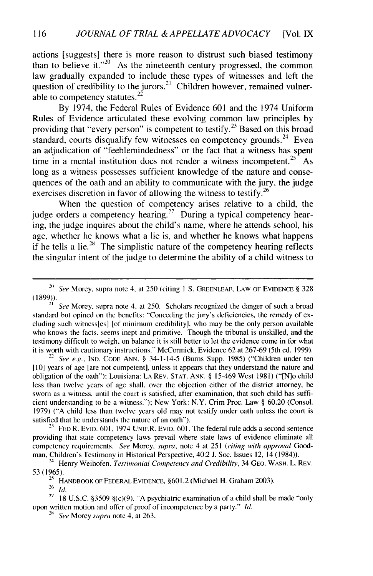actions [suggests] there is more reason to distrust such biased testimony than to believe it."<sup>20</sup> As the nineteenth century progressed, the common law gradually expanded to include these types of witnesses and left the question of credibility to the jurors.<sup>21</sup> Children however, remained vulnerable to competency statutes.<sup>22</sup>

By 1974, the Federal Rules of Evidence 601 and the 1974 Uniform Rules of Evidence articulated these evolving common law principles by providing that "every person" is competent to testify.<sup>23</sup> Based on this broad **24** standard, courts disqualify few witnesses on competency grounds.<sup>24</sup> Even an adjudication of "feeblemindedness" or the fact that a witness has spent time in a mental institution does not render a witness incompetent.<sup>25</sup> As long as a witness possesses sufficient knowledge of the nature and consequences of the oath and an ability to communicate with the jury, the judge exercises discretion in favor of allowing the witness to testify.<sup>26</sup>

When the question of competency arises relative to a child, the judge orders a competency hearing.<sup>27</sup> During a typical competency hearing, the judge inquires about the child's name, where he attends school, his age, whether he knows what a lie is, and whether he knows what happens if he tells a lie.<sup>28</sup> The simplistic nature of the competency hearing reflects the singular intent of the judge to determine the ability of a child witness to

*See* Morey, supra note 4, at 250. Scholars recognized the danger of such a broad standard but opined on the benefits: "Conceding the jury's deficiencies, the remedy of excluding such witnessles] [of minimum credibility], who may be the only person available who knows the facts, seems inept and primitive. Though the tribunal is unskilled, and the testimony difficult to weigh, on balance it is still better to let the evidence come in for what it is worth with cautionary instructions." McCormick, Evidence 62 at 267-69 (5th ed. 1999).

<sup>22</sup>*See e.g.,* **IND. CODE** ANN. § 34-1-14-5 (Burns Supp. 1985) ("Children under ten **[10]** years of age [are not competent], unless it appears that they understand the nature and obligation of the oath"): Louisiana: LA REV. **STAT. ANN.** § 15-469 West 1981) ("[N]o child less than twelve years of age shall, over the objection either of the district attorney, be sworn as a witness, until the court is satisfied, after examination, that such child has sufficient understanding to be a witness."); New York: N.Y. Crim Proc. Law  $\S$  60.20 (Consol. 1979) ("A child less than twelve years old may not testify under oath unless the court is satisfied that he understands the nature of an oath").

*<sup>23</sup>***FED** R. EvID. 601, 1974 UNIF.R. EVID. 601. The federal rule adds a second sentence providing that state competency laws prevail where state laws of evidence eliminate all competency requirements. *See* Morey, *supra,* note 4 at 251 *(citing with approval Good*man, Children's Testimony in Historical Perspective, 40:2 **J.** Soc. Issues 12, 14 (1984)).

<sup>25</sup> HANDBOOK OF FEDERAL EVIDENCE, §601.2 (Michael H. Graham 2003).<br><sup>26</sup>*Id* 

<sup>27</sup> 18 U.S.C. §3509 §(c)(9). "A psychiatric examination of a child shall be made "only upon written motion and offer of proof of incompetence by a party." *Id.*

*28 See* Morey supra note 4, at 263.

*<sup>2&</sup>quot; See* Morey, supra note 4, at 250 (citing **I** S. **GREENLEAF,** LAW OF EVIDENCE § 328 (1899)).

<sup>24</sup> Henry Weihofen, *Testimonial Competency and Credibility,* 34 **GEO.** WASH. L. REV. 53(1965).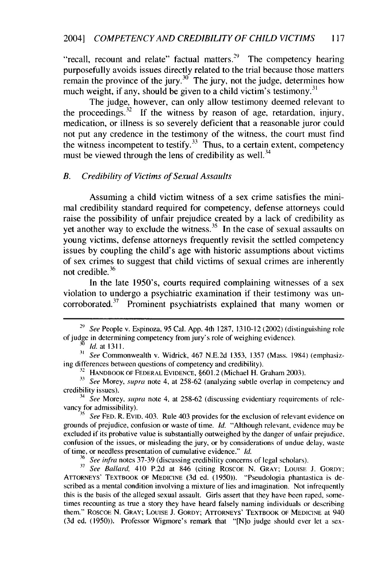"recall, recount and relate" factual matters.<sup>29</sup> The competency hearing purposefully avoids issues directly related to the trial because those matters remain the province of the jury.<sup>30</sup> The jury, not the judge, determines how much weight, if any, should be given to a child victim's testimony.<sup>31</sup>

The judge, however, can only allow testimony deemed relevant to the proceedings.<sup>32</sup> If the witness by reason of age, retardation, injury, medication, or illness is so severely deficient that a reasonable juror could not put any credence in the testimony of the witness, the court must find the witness incompetent to testify.<sup>33</sup> Thus, to a certain extent, competency must be viewed through the lens of credibility as well.<sup>34</sup>

#### *B. Credibility of Victims of Sexual Assaults*

Assuming a child victim witness of a sex crime satisfies the minimal credibility standard required for competency, defense attorneys could raise the possibility of unfair prejudice created by a lack of credibility as yet another way to exclude the witness.<sup>35</sup> In the case of sexual assaults on young victims, defense attorneys frequently revisit the settled competency issues by coupling the child's age with historic assumptions about victims of sex crimes to suggest that child victims of sexual crimes are inherently not credible. 36

In the late 1950's, courts required complaining witnesses of a sex violation to undergo a psychiatric examination if their testimony was un- $37$  corroborated.<sup>37</sup> Prominent psychiatrists explained that many women or

**3'** *See* Commonwealth v. Widrick, 467 N.E.2d 1353, 1357 (Mass. 1984) (emphasizing differences between questions of competency and credibility).

 $32$  HANDBOOK OF FEDERAL EVIDENCE,  $\S601.2$  (Michael H. Graham 2003).

34 *See* Morey, *supra* note 4, at 258-62 (discussing evidentiary requirements of relevancy for admissibility).

<sup>3</sup> *See FED. R. EVID. 403. Rule 403 provides for the exclusion of relevant evidence on* grounds of prejudice, confusion or waste of time. *Id.* "Although relevant, evidence may be excluded if its probative value is substantially outweighed by the danger of unfair prejudice, confusion of the issues, or misleading the jury, or by considerations of undue delay, waste of time, or needless presentation of cumulative evidence." *Id.*

**<sup>36</sup>***See infra* notes 37-39 (discussing credibility concerns of legal scholars).

**37** *See Ballard,* 410 P.2d at 846 (citing ROSCOE N. GRAY; LOUISE J. GORDY; ATTORNEYS' TEXTBOOK OF MEDICINE (3d ed. (1950)). "Pseudologia phantastica is described as a mental condition involving a mixture of lies and imagination. Not infrequently this is the basis of the alleged sexual assault. Girls assert that they have been raped, sometimes recounting as true a story they have heard falsely naming individuals or describing them." ROSCOE N. GRAY; LOUISE **J.** GORDY; ATIrORNEYS' TEXTBOOK OF MEDICINE at 940 (3d ed. (1950)). Professor Wigmore's remark that "[N]o judge should ever let a sex-

<sup>29</sup> *See* People v. Espinoza, 95 Cal. App. 4th 1287, 1310-12 (2002) (distinguishing role of judge in determining competency from jury's role of weighing evidence).

*Id.* at 1311.

**<sup>33</sup>** *See* Morey, *supra* note 4, at 258-62 (analyzing subtle overlap in competency and credibility issues).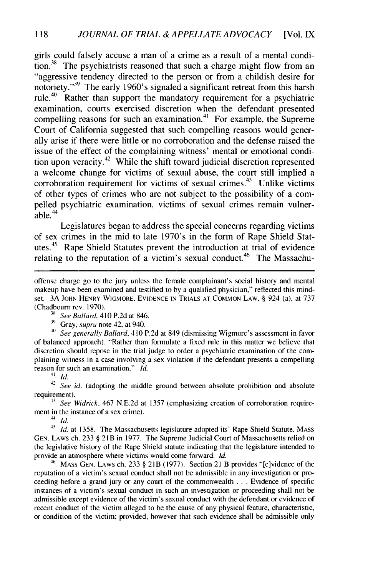girls could falsely accuse a man of a crime as a result of a mental condition.<sup>38</sup> The psychiatrists reasoned that such a charge might flow from an "aggressive tendency directed to the person or from a childish desire for notoriety.<sup>"39</sup> The early 1960's signaled a significant retreat from this harsh rule.40 Rather than support the mandatory requirement for a psychiatric examination, courts exercised discretion when the defendant presented compelling reasons for such an examination.<sup>41</sup> For example, the Supreme Court of California suggested that such compelling reasons would generally arise if there were little or no corroboration and the defense raised the issue of the effect of the complaining witness' mental or emotional condition upon veracity.<sup>42</sup> While the shift toward judicial discretion represented a welcome change for victims of sexual abuse, the court still implied a corroboration requirement for victims of sexual crimes.<sup>43</sup> Unlike victims of other types of crimes who are not subject to the possibility of a compelled psychiatric examination, victims of sexual crimes remain vulnerable. $44$ 

Legislatures began to address the special concerns regarding victims of sex crimes in the mid to late 1970's in the form of Rape Shield Statutes. $45$  Rape Shield Statutes prevent the introduction at trial of evidence relating to the reputation of a victim's sexual conduct.<sup>46</sup> The Massachu-

<sup>38</sup> *See Ballard*, 410 P.2d at 846.

**<sup>39</sup>**Gray, supra note *42,* at 940.

<sup>40</sup>See generally Ballard, 410 P.2d at 849 (dismissing Wigmore's assessment in favor of balanced approach). "Rather than formulate a fixed rule in this matter we believe that discretion should repose in the trial judge to order a psychiatric examination of the complaining witness in a case involving a sex violation if the defendant presents a compelling reason for such an examination." Id.

*41 Id.*

<sup>42</sup> *See id.* (adopting the middle ground between absolute prohibition and absolute requirement).

43 See *Widrick,* 467 N.E.2d at 1357 (emphasizing creation of corroboration requirement in the instance of a sex crime).

44 *Id.*

*<sup>45</sup>***Id.** at 1358. The Massachusetts legislature adopted its' Rape Shield Statute, **MASS** GEN. Laws ch. 233 § 21B in 1977. The Supreme Judicial Court of Massachusetts relied on the legislative history of the Rape Shield statute indicating that the legislature intended to provide an atmosphere where victims would come forward. Id.

46 MASS **GEN.** LAWS ch. 233 § 21B **(1977).** Section 21 B provides "[elvidence of the reputation of a victim's sexual conduct shall not be admissible in any investigation or proceeding before a grand jury or any court of the commonwealth . . . Evidence of specific instances of a victim's sexual conduct in such an investigation or proceeding shall not be admissible except evidence of the victim's sexual conduct with the defendant or evidence of recent conduct of the victim alleged to be the cause of any physical feature, characteristic, or condition of the victim; provided, however that such evidence shall be admissible only

offense charge go to the jury unless the female complainant's social history and mental makeup have been examined and testified to by a qualified physician," reflected this mindset. 3A **JOHN** HENRY WIGMORE, EvIDENCE IN TRIALS AT **COMMON** LAW, § 924 (a), at 737 (Chadbourn rev. **1970).**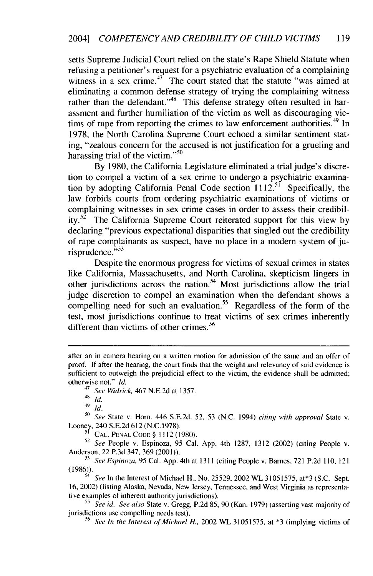setts Supreme Judicial Court relied on the state's Rape Shield Statute when refusing a petitioner's request for a psychiatric evaluation of a complaining witness in a sex crime.<sup>47</sup> The court stated that the statute "was aimed at eliminating a common defense strategy of trying the complaining witness rather than the defendant."<sup>48</sup> This defense strategy often resulted in harassment and further humiliation of the victim as well as discouraging victims of rape from reporting the crimes to law enforcement authorities.<sup>49</sup> In 1978, the North Carolina Supreme Court echoed a similar sentiment stating, "zealous concern for the accused is not justification for a grueling and harassing trial of the victim." $50$ 

By 1980, the California Legislature eliminated a trial judge's discretion to compel a victim of a sex crime to undergo a psychiatric examination to  $\frac{1}{2}$  of  $\frac{1}{2}$  in  $\frac{1}{2}$  california Penal Code section  $1112$ .<sup>51</sup> Specifically, the law forbids courts from ordering psychiatric examinations of victims or complaining witnesses in sex crime cases in order to assess their credibility.<sup>52</sup> The California Supreme Court reiterated support for this view by declaring "previous expectational disparities that singled out the credibility of rape complainants as suspect, have no place in a modern system of ju- $\frac{1}{2}$  risprudence."<sup>53</sup>

Despite the enormous progress for victims of sexual crimes in states like California, Massachusetts, and North Carolina, skepticism lingers in other jurisdictions across the nation.<sup>54</sup> Most jurisdictions allow the trial judge discretion to compel an examination when the defendant shows a compelling need for such an evaluation.<sup>55</sup> Regardless of the form of the test, most jurisdictions continue to treat victims of sex crimes inherently different than victims of other crimes.<sup>56</sup>

47 *See Widrick,* 467 N.E.2d at 1357.

 $48 \tilde{I}$ *d.* 

49 *id.*

**-(** *See* State v. Horn, 446 S.E.2d. **52,** 53 (N.C. 1994) *citing with approval* State v. Looney, 240 S.E.2d 612 (N.C. 1978).

**<sup>51</sup>**CAL. PENAL CODE § 1112 (1980).

**<sup>52</sup>***See* People v. Espinoza, 95 Cal. App. 4th 1287, 1312 (2002) (citing People v. Anderson, 22 P.3d 347, 369 (2001)).

**<sup>53</sup>***See Espinoza,* 95 Cal. App. 4th at 1311 (citing People v. Barnes, 721 P.2d 110, 121 (1986)).

54 *See* In the Interest of Michael H., No. 25529, 2002 WL 31051575, at\*3 (S.C. Sept. 16, 2002) (listing Alaska, Nevada, New Jersey, Tennessee, and West Virginia as representative examples of inherent authority jurisdictions).

<sup>55</sup> See id. See also State v. Gregg, P.2d 85, 90 (Kan. 1979) (asserting vast majority of jurisdictions use compelling needs test).

**56** *See In* the *Interest of Michael H.,* 2002 WL 31051575, at \*3 (implying victims of

after an in camera hearing on a written motion for admission of the same and an offer of proof. If after the hearing, the court finds that the weight and relevancy of said evidence is sufficient to outweigh the prejudicial effect to the victim, the evidence shall be admitted; otherwise not." *Id.*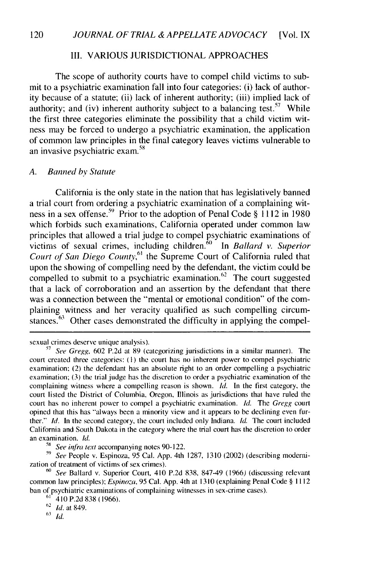## III. VARIOUS JURISDICTIONAL APPROACHES

The scope of authority courts have to compel child victims to submit to a psychiatric examination fall into four categories: (i) lack of authority because of a statute; (ii) lack of inherent authority; (iii) implied lack of authority; and (iv) inherent authority subject to a balancing test.<sup>57</sup> While the first three categories eliminate the possibility that a child victim witness may be forced to undergo a psychiatric examination, the application of common law principles in the final category leaves victims vulnerable to an invasive psychiatric exam.<sup>58</sup>

#### *A. Banned by Statute*

California is the only state in the nation that has legislatively banned a trial court from ordering a psychiatric examination of a complaining witness in a sex offense.<sup>59</sup> Prior to the adoption of Penal Code  $\S$  1112 in 1980 which forbids such examinations, California operated under common law principles that allowed a trial judge to compel psychiatric examinations of victims of sexual crimes, including children.<sup>60</sup> In *Ballard v. Superior* Court of San Diego County,<sup>61</sup> the Supreme Court of California ruled that upon the showing of compelling need by the defendant, the victim could be compelled to submit to a psychiatric examination.<sup>62</sup> The court suggested that a lack of corroboration and an assertion by the defendant that there was a connection between the "mental or emotional condition" of the complaining witness and her veracity qualified as such compelling circumstances. $63$  Other cases demonstrated the difficulty in applying the compel-

sexual crimes deserve unique analysis).

**58** *See infra text* accompanying notes 90-122.

**59** *See* People v. Espinoza, 95 Cal. App. 4th 1287, 1310 (2002) (describing modernization of treatment of victims of sex crimes).

62 *Id.* at 849.

 $63$  *Id.* 

**<sup>&#</sup>x27;7** *See Gregg,* 602 P.2d at 89 (categorizing jurisdictions in a similar manner). The court created three categories: (1) the court has no inherent power to compel psychiatric examination: (2) the defendant has an absolute fight to an order compelling a psychiatric examination; (3) the trial judge has the discretion to order a psychiatric examination of the complaining witness where a compelling reason is shown. *Id.* In the first category, the court listed the District of Columbia, Oregon, Illinois as jurisdictions that have ruled the court has no inherent power to compel a psychiatric examination. *Id.* The *Gregg* court opined that this has "always been a minority view and it appears to be declining even further." *Id.* In the second category, the court included only Indiana. *Id.* The court included California and South Dakota in the category where the trial court has the discretion to order an examination. *Id.* 

*<sup>6</sup> See* Ballard v. Superior Court, 410 P.2d 838, 847-49 (1966) (discussing relevant common law principles); *Espinoza,* 95 Cal. App. 4th at 1310 (explaining Penal Code § 1112 ban of psychiatric examinations of complaining witnesses in sex-crime cases).

 $61^{\degree}$  410 P.2d 838 (1966).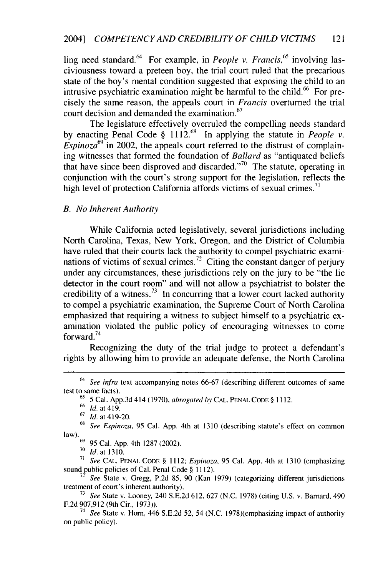ling need standard.<sup> $64$ </sup> For example, in *People v. Francis*,<sup> $65$ </sup> involving lasciviousness toward a preteen boy, the trial court ruled that the precarious state of the boy's mental condition suggested that exposing the child to an intrusive psychiatric examination might be harmful to the child.<sup>66</sup> For precisely the same reason, the appeals court in *Francis* overturned the trial court decision and demanded the examination. $67$ 

The legislature effectively overruled the compelling needs standard by enacting Penal Code § 1112.<sup>68</sup> In applying the statute in *People v*.  $Espinoza^{69}$  in 2002, the appeals court referred to the distrust of complaining witnesses that formed the foundation of *Ballard* as "antiquated beliefs that have since been disproved and discarded. $v^{70}$  The statute, operating in conjunction with the court's strong support for the legislation, reflects the high level of protection California affords victims of sexual crimes.<sup>7</sup>

## *B. No Inherent Authority*

While California acted legislatively, several jurisdictions including North Carolina, Texas, New York, Oregon, and the District of Columbia have ruled that their courts lack the authority to compel psychiatric examinations of victims of sexual crimes.<sup>72</sup> Citing the constant danger of perjury under any circumstances, these jurisdictions rely on the jury to be "the lie detector in the court room" and will not allow a psychiatrist to bolster the credibility of a witness.<sup>73</sup> In concurring that a lower court lacked authority to compel a psychiatric examination, the Supreme Court of North Carolina emphasized that requiring a witness to subject himself to a psychiatric examination violated the public policy of encouraging witnesses to come forward.<sup>74</sup>

Recognizing the duty of the trial judge to protect a defendant's rights by allowing him to provide an adequate defense, the North Carolina

 $64$  See infra text accompanying notes 66-67 (describing different outcomes of same test to same facts).

**<sup>65</sup>**5 Cal. App.3d 414 (1970), abrogated **hy CAL. PENAL CODE** § 1112.

 $66 \frac{J}{6}$  at 410.

**<sup>67</sup>***Id.* at 419-20.

**<sup>68</sup>**See Espinoza, 95 Cal. App. 4th at 1310 (describing statute's effect on common law). **<sup>69</sup>**95 Cal. App. 4th 1287 (2002).

**<sup>70</sup>Id.** at 1310.

**<sup>71</sup>**See **CAL. PENAL CODE** § 1112; Espinoza, 95 Cal. App. 4th at 1310 (emphasizing sound public policies of Cal. Penal Code § 1112).

**<sup>7</sup>***See* State v. Gregg, P.2d 85, 90 (Kan 1979) (categorizing different jurisdictions treatment of court's inherent authority).

**<sup>73</sup>***See* State v. Looney, 240 S.E.2d 612, 627 (N.C. 1978) (citing U.S. v. Barnard, 490 F.2d 907,912 (9th Cir., 1973)).

<sup>74</sup> *See* State v. Horn, 446 S.E.2d 52, 54 (N.C. 1978)(emphasizing impact of authority on public policy).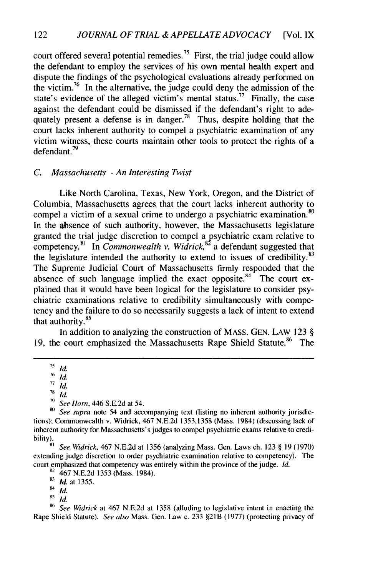court offered several potential remedies.<sup>75</sup> First, the trial judge could allow the defendant to employ the services of his own mental health expert and dispute the findings of the psychological evaluations already performed on the victim.<sup>76</sup> In the alternative, the judge could deny the admission of the state's evidence of the alleged victim's mental status.<sup>77</sup> Finally, the case against the defendant could be dismissed if the defendant's right to adequately present a defense is in danger.<sup>78</sup> Thus, despite holding that the court lacks inherent authority to compel a psychiatric examination of any victim witness, these courts maintain other tools to protect the rights of a defendant.<sup>79</sup>

## *C. Massachusetts* - *An Interesting Twist*

Like North Carolina, Texas, New York, Oregon, and the District of Columbia, Massachusetts agrees that the court lacks inherent authority to compel a victim of a sexual crime to undergo a psychiatric examination.<sup>80</sup> In the absence of such authority, however, the Massachusetts legislature granted the trial judge discretion to compel a psychiatric exam relative to competency.<sup>81</sup> In *Commonwealth v. Widrick*,<sup>82</sup> a defendant suggested that the legislature intended the authority to extend to issues of credibility.<sup>83</sup> The Supreme Judicial Court of Massachusetts firmly responded that the absence of such language implied the exact opposite. $84$  The court explained that it would have been logical for the legislature to consider psychiatric examinations relative to credibility simultaneously with competency and the failure to do so necessarily suggests a lack of intent to extend that authority. <sup>85</sup>

In addition to analyzing the construction of MASS. GEN. LAW 123 § 19, the court emphasized the Massachusetts Rape Shield Statute.<sup>86</sup> The

82 467 N.E.2d 1353 (Mass. 1984).

<sup>85</sup> *Id.*<br><sup>86</sup> See Widrick at 467 N.E.2d at 1358 (alluding to legislative intent in enacting the Rape Shield Statute). *See also* Mass. Gen. Law c. 233 §21B (1977) (protecting privacy of

**<sup>75</sup>** *id.*

<sup>76</sup>*id.*

 $\overline{77}$ *id.* 

**<sup>78</sup>***Id.*

**<sup>79</sup>***See Horn,* 446 S.E.2d at 54.

**<sup>80</sup>** *See supra* note 54 and accompanying text (listing no inherent authority jurisdictions); Commonwealth v. Widrick, 467 N.E.2d 1353,1358 (Mass. 1984) (discussing lack of inherent authority for Massachusetts's judges to compel psychiatric exams relative to credibility).

*<sup>8</sup>* See Widrick, 467 N.E.2d at 1356 (analyzing Mass. Gen. Laws ch. 123 § 19 (1970) extending judge discretion to order psychiatric examination relative to competency). The court emphasized that competency was entirely within the province of the judge. *Id.*

<sup>83</sup>*id.* at 1355.

<sup>84</sup> *id.* 85 *Id.*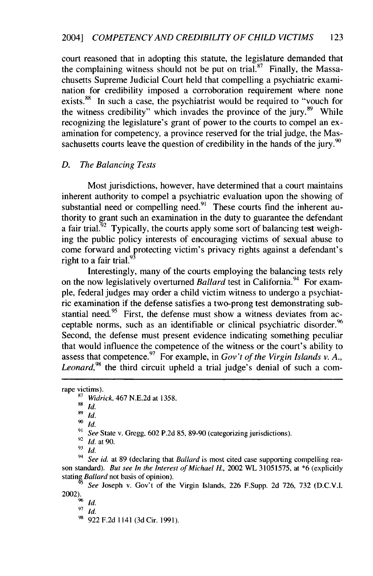court reasoned that in adopting this statute, the legislature demanded that the complaining witness should not be put on trial.<sup>87</sup> Finally, the Massachusetts Supreme Judicial Court held that compelling a psychiatric examination for credibility imposed a corroboration requirement where none exists.<sup>88</sup> In such a case, the psychiatrist would be required to "vouch for the witness credibility" which invades the province of the jury.<sup>89</sup> While recognizing the legislature's grant of power to the courts to compel an examination for competency, a province reserved for the trial judge, the Massachusetts courts leave the question of credibility in the hands of the jury.<sup>90</sup>

### *D. The Balancing Tests*

Most jurisdictions, however, have determined that a court maintains inherent authority to compel a psychiatric evaluation upon the showing of substantial need or compelling need.<sup>91</sup> These courts find the inherent authority to grant such an examination in the duty to guarantee the defendant a fair trial.<sup>52</sup> Typically, the courts apply some sort of balancing test weighing the public policy interests of encouraging victims of sexual abuse to come forward and protecting victim's privacy rights against a defendant's right to a fair trial. $93$ 

Interestingly, many of the courts employing the balancing tests rely on the now legislatively overturned *Ballard* test in California.<sup>94</sup> For example, federal judges may order a child victim witness to undergo a psychiatric examination if the defense satisfies a two-prong test demonstrating substantial need.<sup>95</sup> First, the defense must show a witness deviates from acceptable norms, such as an identifiable or clinical psychiatric disorder.<sup>96</sup> Second, the defense must present evidence indicating something peculiar that would influence the competence of the witness or the court's ability to assess that competence.<sup>97</sup> For example, in *Gov't of the Virgin Islands v. A. Leonard,98* the third circuit upheld a trial judge's denial of such a com-

 $^{90}$  *Id.* 

94 *See id.* at 89 (declaring that Ballard is most cited case supporting compelling reason standard). *But see In the Interest of Michael H.,* 2002 WL 31051575, at \*6 (explicitly stating *Ballard* not basis of opinion).

*See* Joseph v. Gov't of the Virgin Islands, 226 F.Supp. 2d 726, 732 (D.C.V.I. 2002). **9** *id.*

**<sup>97</sup>***id.*

rape victims).

*<sup>87</sup>Widrick,* 467 N.E.2d at 1358.

<sup>88</sup>*id.*

<sup>89</sup>*id.*

*See* State v. Gregg, 602 P.2d 85, 89-90 (categorizing jurisdictions).

<sup>92</sup>*Id.* at 90.

 $\overline{93}$ *Id.* 

<sup>98 922</sup> F.2d 1141 (3d Cir. 1991).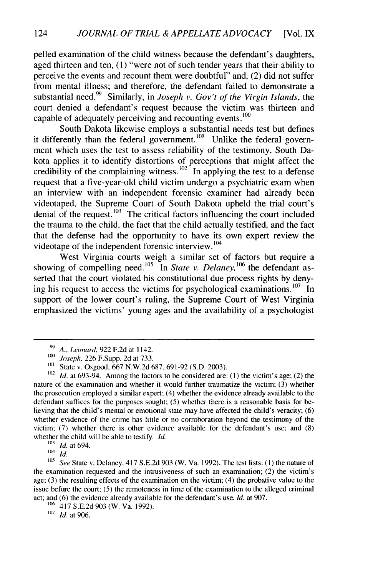pelled examination of the child witness because the defendant's daughters, aged thirteen and ten, (1) "were not of such tender years that their ability to perceive the events and recount them were doubtful" and, (2) did not suffer from mental illness; and therefore, the defendant failed to demonstrate a substantial need.<sup>99</sup> Similarly, in *Joseph v. Gov't of the Virgin Islands*, the court denied a defendant's request because the victim was thirteen and capable of adequately perceiving and recounting events. $^{100}$ 

South Dakota likewise employs a substantial needs test but defines it differently than the federal government.<sup>101</sup> Unlike the federal government which uses the test to assess reliability of the testimony, South Dakota applies it to identify distortions of perceptions that might affect the credibility of the complaining witness.<sup>102</sup> In applying the test to a defense request that a five-year-old child victim undergo a psychiatric exam when an interview with an independent forensic examiner had already been videotaped, the Supreme Court of South Dakota upheld the trial court's denial of the request. **103** The critical factors influencing the court included the trauma to the child, the fact that the child actually testified, and the fact that the defense had the opportunity to have its own expert review the videotape of the independent forensic interview.<sup>104</sup>

West Virginia courts weigh a similar set of factors but require a showing of compelling need.<sup>105</sup> In *State v. Delaney*, <sup>106</sup> the defendant asserted that the court violated his constitutional due process rights by denying his request to access the victims for psychological examinations. **107** In support of the lower court's ruling, the Supreme Court of West Virginia emphasized the victims' young ages and the availability of a psychologist

*<sup>99</sup>A., Leonard,* 922 F.2d at 1142.

*<sup>1</sup>oo Joseph,* 226 F.Supp. 2d at 733.

State v. Osgood, 667 N.W.2d 687, 691-92 (S.D. 2003).

**<sup>102</sup>***Id.* at 693-94. Among the factors to be considered are: **(1)** the victim's age; (2) the nature of the examination and whether it would further traumatize the victim; (3) whether the prosecution employed a similar expert; (4) whether the evidence already available to the defendant suffices for the purposes sought; (5) whether there is a reasonable basis for believing that the child's mental or emotional state may have affected the child's veracity; (6) whether evidence of the crime has little or no corroboration beyond the testimony of the victim; (7) whether there is other evidence available for the defendant's use; and (8) whether the child will be able to testify. *Id.*

*<sup>&#</sup>x27;0' Id.* at 694.

 $\frac{104}{105}$  *Id.* 

**<sup>105</sup>***See* State v. Delaney, 417 S.E.2d 903 (W. Va. 1992). The test lists: **(1)** the nature of the examination requested and the intrusiveness of such an examination; (2) the victim's age; (3) the resulting effects of the examination on the victim; (4) the probative value to the issue before the court; (5) the remoteness in time of the examination to the alleged criminal act; and (6) the evidence already available for the defendant's use. *Id.* at 907.

**<sup>&#</sup>x27;06** 417 S.E.2d 903 (W. Va. 1992).

*<sup>&#</sup>x27;07 Id.* at 906.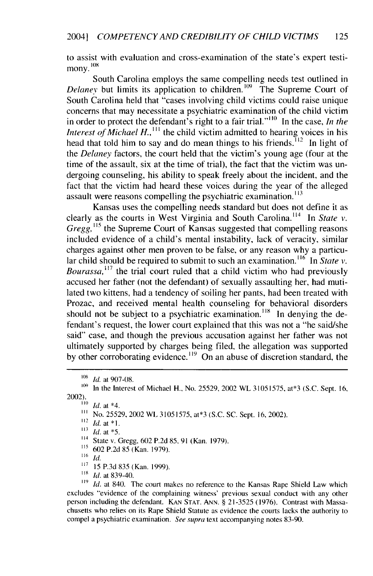to assist with evaluation and cross-examination of the state's expert testimony.<sup>108</sup>

South Carolina employs the same compelling needs test outlined in Delanev but limits its application to children.<sup>109</sup> The Supreme Court of South Carolina held that "cases involving child victims could raise unique concerns that may necessitate a psychiatric examination of the child victim in order to protect the defendant's right to a fair trial."<sup>110</sup> In the case, *In the Interest of Michael H.*,<sup>111</sup> the child victim admitted to hearing voices in his head that told him to say and do mean things to his friends.<sup> $112$ </sup> In light of the *Delaney* factors, the court held that the victim's young age (four at the time of the assault, six at the time of trial), the fact that the victim was undergoing counseling, his ability to speak freely about the incident, and the fact that the victim had heard these voices during the year of the alleged assault were reasons compelling the psychiatric examination.<sup>113</sup>

Kansas uses the compelling needs standard but does not define it as clearly as the courts in West Virginia and South Carolina.<sup>114</sup> In State *v*. *Gregg*, <sup>115</sup> the Supreme Court of Kansas suggested that compelling reasons included evidence of a child's mental instability, lack of veracity, similar charges against other men proven to be false, or any reason why a particular child should be required to submit to such an examination.<sup>116</sup> In *State v*. *Bourassa,<sup>11</sup><sup>7</sup>*the trial court ruled that a child victim who had previously accused her father (not the defendant) of sexually assaulting her, had mutilated two kittens, had a tendency of soiling her pants, had been treated with Prozac, and received mental health counseling for behavioral disorders should not be subject to a psychiatric examination.<sup>118</sup> In denying the defendant's request, the lower court explained that this was not a "he said/she said" case, and though the previous accusation against her father was not ultimately supported by charges being filed, the allegation was supported by other corroborating evidence.<sup>119</sup> On an abuse of discretion standard, the

- '14 State v. Gregg, 602 **P.2d** *85,* **91** (Kan. **1979).**
- 115 **602 P.2d 85** (Kan. **1979).**

*116 Id.*

- 117 15 P.3d 835 (Kan. 1999).
- <sup>18</sup>*Id.* at 839-40.

<sup>119</sup> *Id.* at 840. The court makes no reference to the Kansas Rape Shield Law which excludes "evidence of the complaining witness' previous sexual conduct with any other person including the defendant. KAN STAT. ANN. § 21-3525 (1976). Contrast with Massachusetts who relies on its Rape Shield Statute as evidence the courts lacks the authority to compel a psychiatric examination. See supra text accompanying notes 83-90.

<sup>&</sup>lt;sup>108</sup> *Id.* at 907-08.

**<sup>&#</sup>x27;09** In the Interest of Michael H., No. 25529, 2002 WL 31051575, at\*3 (S.C. Sept. 16, 2002).

 $\frac{1}{100}$  *Id.* at \*4.

**<sup>...</sup>** No. 25529, 2002 WL 31051575, at\*3 **(S.C. SC.** Sept. **16,** 2002).

**<sup>112</sup> I.** at **\*1.**

**<sup>113</sup>** *Id.* at **\*5.**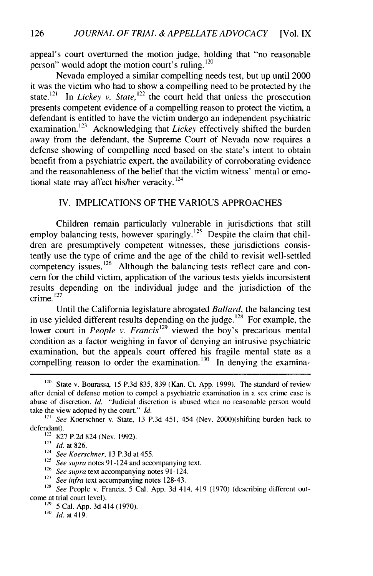appeal's court overturned the motion judge, holding that "no reasonable person" would adopt the motion court's ruling.  $^{120}$ 

Nevada employed a similar compelling needs test, but up until 2000 it was the victim who had to show a compelling need to be protected by the state.<sup>121</sup> In *Lickey v. State*, <sup>122</sup> the court held that unless the prosecution presents competent evidence of a compelling reason to protect the victim, a defendant is entitled to have the victim undergo an independent psychiatric examination. **123** Acknowledging that *Lickey* effectively shifted the burden away from the defendant, the Supreme Court of Nevada now requires a defense showing of compelling need based on the state's intent to obtain benefit from a psychiatric expert, the availability of corroborating evidence and the reasonableness of the belief that the victim witness' mental or emotional state may affect his/her veracity.<sup>124</sup>

### IV. IMPLICATIONS OF THE VARIOUS APPROACHES

Children remain particularly vulnerable in jurisdictions that still employ balancing tests, however sparingly.<sup>125</sup> Despite the claim that children are presumptively competent witnesses, these jurisdictions consistently use the type of crime and the age of the child to revisit well-settled competency issues.<sup>126</sup> Although the balancing tests reflect care and concern for the child victim, application of the various tests yields inconsistent results depending on the individual judge and the jurisdiction of the crime.<sup>127</sup>

Until the California legislature abrogated *Ballard,* the balancing test in use yielded different results depending on the judge.<sup>128</sup> For example, the lower court in *People v. Francis*<sup>129</sup> viewed the boy's precarious mental condition as a factor weighing in favor of denying an intrusive psychiatric examination, but the appeals court offered his fragile mental state as a compelling reason to order the examination.<sup>130</sup> In denying the examina-

<sup>126</sup> See supra text accompanying notes 91-124.

<sup>129</sup> 5 Cal. App. 3d 414 (1970).

**131** *id.* at 419.

 $120$  State v. Bourassa, 15 P.3d 835, 839 (Kan. Ct. App. 1999). The standard of review after denial of defense motion to compel a psychiatric examination in a sex crime case is abuse of discretion. *Id.* "Judicial discretion is abused when no reasonable person would take the view adopted by the court." *Id.*

<sup>121</sup>*See* Koerschner v. State, 13 P.3d 451, 454 (Nev. 2000)(shifting burden back to defendant).

 $122$  827 P.2d 824 (Nev. 1992).

**<sup>123</sup>** *Id.* at **826.**

<sup>124</sup> *See Koerschner,* 13 P.3d at 455.

<sup>&</sup>lt;sup>125</sup> *See supra* notes 91-124 and accompanying text.

<sup>&</sup>lt;sup>127</sup> *See infra* text accompanying notes 128-43.

**<sup>128</sup>** *See* People v. Francis, 5 Cal. App. 3d 414, 419 (1970) (describing different outcome at trial court level).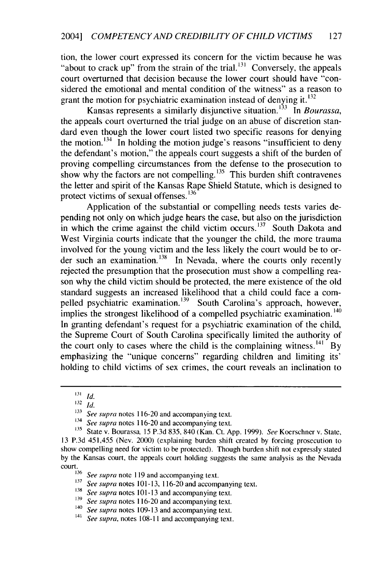tion, the lower court expressed its concern for the victim because he was "about to crack up" from the strain of the trial.<sup>131</sup> Conversely, the appeals court overturned that decision because the lower court should have "considered the emotional and mental condition of the witness" as a reason to grant the motion for psychiatric examination instead of denying it.  $^{132}$ 

Kansas represents a similarly disjunctive situation.<sup>133</sup> In *Bourassa*, the appeals court overturned the trial judge on an abuse of discretion standard even though the lower court listed two specific reasons for denying the motion.  $134$  In holding the motion judge's reasons "insufficient to deny the defendant's motion," the appeals court suggests a shift of the burden of proving compelling circumstances from the defense to the prosecution to show why the factors are not compelling.<sup>135</sup> This burden shift contravenes the letter and spirit of the Kansas Rape Shield Statute, which is designed to protect victims of sexual offenses.<sup>136</sup>

Application of the substantial or compelling needs tests varies depending not only on which judge hears the case, but also on the jurisdiction in which the crime against the child victim occurs.<sup>137</sup> South Dakota and West Virginia courts indicate that the younger the child, the more trauma involved for the young victim and the less likely the court would be to order such an examination.<sup>138</sup> In Nevada, where the courts only recently rejected the presumption that the prosecution must show a compelling reason why the child victim should be protected, the mere existence of the old standard suggests an increased likelihood that a child could face a compelled psychiatric examination.<sup>139</sup> South Carolina's approach, however, implies the strongest likelihood of a compelled psychiatric examination.<sup>140</sup> In granting defendant's request for a psychiatric examination of the child, the Supreme Court of South Carolina specifically limited the authority of the court only to cases where the child is the complaining witness.<sup>141</sup> By emphasizing the "unique concerns" regarding children and limiting its' holding to child victims of sex crimes, the court reveals an inclination to

*<sup>131</sup>Id.*

**<sup>132</sup>** id.

<sup>&</sup>lt;sup>133</sup> See supra notes 116-20 and accompanying text.

<sup>&</sup>lt;sup>134</sup> *See supra* notes 116-20 and accompanying text.<br><sup>135</sup> State v Bourassa 15 P 3d 835 840 (Kan. Ct. A)

**<sup>135</sup>** State v. Bourassa, **15 P.3d 835,** 840 (Kan. Ct. **App. 1999).** See Koerschner v. State, **13 P.3d** 451,455 (Nev. 2000) (explaining burden shift created **by** forcing prosecution to show compelling need for victim to be protected). Though burden shift not expressly stated **by** the Kansas court, the appeals court holding suggests the same analysis as the Nevada court.

<sup>&</sup>lt;sup>136</sup> See supra note 119 and accompanying text.

**<sup>137</sup>** *See supra* notes **101-13, 116-20** and accompanying text.

**<sup>138</sup>***See supra* notes **101-13** and accompanying text.

**<sup>139</sup>***See supra* notes **116-20** and accompanying text.

<sup>&</sup>lt;sup>140</sup>*See supra* notes 109-13 and accompanying text.<br><sup>141</sup>*See supra*, notes 108-11 and accompanying text.